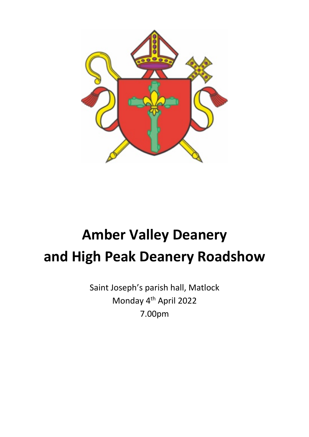

# **Amber Valley Deanery and High Peak Deanery Roadshow**

Saint Joseph's parish hall, Matlock Monday 4th April 2022 7.00pm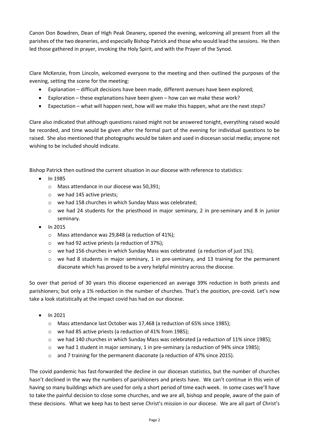Canon Don Bowdren, Dean of High Peak Deanery, opened the evening, welcoming all present from all the parishes of the two deaneries, and especially Bishop Patrick and those who would lead the sessions. He then led those gathered in prayer, invoking the Holy Spirit, and with the Prayer of the Synod.

Clare McKenzie, from Lincoln, welcomed everyone to the meeting and then outlined the purposes of the evening, setting the scene for the meeting:

- Explanation difficult decisions have been made, different avenues have been explored;
- Exploration these explanations have been given how can we make these work?
- Expectation what will happen next, how will we make this happen, what are the next steps?

Clare also indicated that although questions raised might not be answered tonight, everything raised would be recorded, and time would be given after the formal part of the evening for individual questions to be raised. She also mentioned that photographs would be taken and used in diocesan social media; anyone not wishing to be included should indicate.

Bishop Patrick then outlined the current situation in our diocese with reference to statistics:

- In 1985
	- o Mass attendance in our diocese was 50,391;
	- o we had 145 active priests;
	- o we had 158 churches in which Sunday Mass was celebrated;
	- $\circ$  we had 24 students for the priesthood in major seminary, 2 in pre-seminary and 8 in junior seminary.
- In 2015
	- o Mass attendance was 29,848 (a reduction of 41%);
	- o we had 92 active priests (a reduction of 37%);
	- $\circ$  we had 156 churches in which Sunday Mass was celebrated (a reduction of just 1%);
	- $\circ$  we had 8 students in major seminary, 1 in pre-seminary, and 13 training for the permanent diaconate which has proved to be a very helpful ministry across the diocese.

So over that period of 30 years this diocese experienced an average 39% reduction in both priests and parishioners; but only a 1% reduction in the number of churches. That's the position, pre-covid. Let's now take a look statistically at the impact covid has had on our diocese.

- In 2021
	- o Mass attendance last October was 17,468 (a reduction of 65% since 1985);
	- o we had 85 active priests (a reduction of 41% from 1985);
	- $\circ$  we had 140 churches in which Sunday Mass was celebrated (a reduction of 11% since 1985);
	- $\circ$  we had 1 student in major seminary, 1 in pre-seminary (a reduction of 94% since 1985);
	- $\circ$  and 7 training for the permanent diaconate (a reduction of 47% since 2015).

The covid pandemic has fast-forwarded the decline in our diocesan statistics, but the number of churches hasn't declined in the way the numbers of parishioners and priests have. We can't continue in this vein of having so many buildings which are used for only a short period of time each week. In some cases we'll have to take the painful decision to close some churches, and we are all, bishop and people, aware of the pain of these decisions. What we keep has to best serve Christ's mission in our diocese. We are all part of Christ's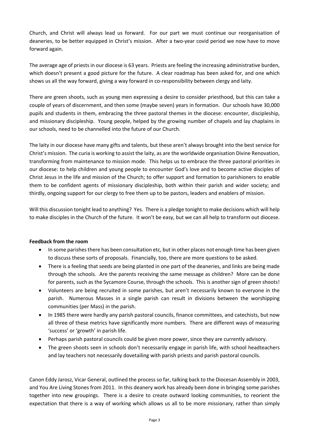Church, and Christ will always lead us forward. For our part we must continue our reorganisation of deaneries, to be better equipped in Christ's mission. After a two-year covid period we now have to move forward again.

The average age of priests in our diocese is 63 years. Priests are feeling the increasing administrative burden, which doesn't present a good picture for the future. A clear roadmap has been asked for, and one which shows us all the way forward, giving a way forward in co-responsibility between clergy and laity.

There are green shoots, such as young men expressing a desire to consider priesthood, but this can take a couple of years of discernment, and then some (maybe seven) years in formation. Our schools have 30,000 pupils and students in them, embracing the three pastoral themes in the diocese: encounter, discipleship, and missionary discipleship. Young people, helped by the growing number of chapels and lay chaplains in our schools, need to be channelled into the future of our Church.

The laity in our diocese have many gifts and talents, but these aren't always brought into the best service for Christ's mission. The curia is working to assist the laity, as are the worldwide organisation Divine Renovation, transforming from maintenance to mission mode. This helps us to embrace the three pastoral priorities in our diocese: to help children and young people to encounter God's love and to become active disciples of Christ Jesus in the life and mission of the Church; to offer support and formation to parishioners to enable them to be confident agents of missionary discipleship, both within their parish and wider society; and thirdly, ongoing support for our clergy to free them up to be pastors, leaders and enablers of mission.

Will this discussion tonight lead to anything? Yes. There is a pledge tonight to make decisions which will help to make disciples in the Church of the future. It won't be easy, but we can all help to transform out diocese.

## **Feedback from the room**

- In some parishes there has been consultation etc, but in other places not enough time has been given to discuss these sorts of proposals. Financially, too, there are more questions to be asked.
- There is a feeling that seeds are being planted in one part of the deaneries, and links are being made through the schools. Are the parents receiving the same message as children? More can be done for parents, such as the Sycamore Course, through the schools. This is another sign of green shoots!
- Volunteers are being recruited in some parishes, but aren't necessarily known to everyone in the parish. Numerous Masses in a single parish can result in divisions between the worshipping communities (per Mass) in the parish.
- In 1985 there were hardly any parish pastoral councils, finance committees, and catechists, but now all three of these metrics have significantly more numbers. There are different ways of measuring 'success' or 'growth' in parish life.
- Perhaps parish pastoral councils could be given more power, since they are currently advisory.
- The green shoots seen in schools don't necessarily engage in parish life, with school headteachers and lay teachers not necessarily dovetailing with parish priests and parish pastoral councils.

Canon Eddy Jarosz, Vicar General, outlined the process so far, talking back to the Diocesan Assembly in 2003, and You Are Living Stones from 2011. In this deanery work has already been done in bringing some parishes together into new groupings. There is a desire to create outward looking communities, to reorient the expectation that there is a way of working which allows us all to be more missionary, rather than simply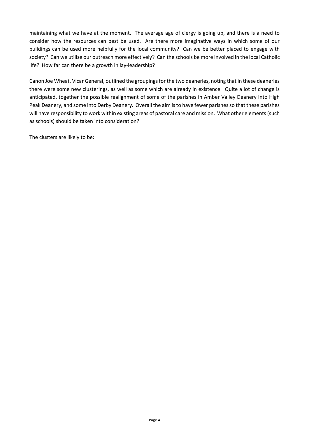maintaining what we have at the moment. The average age of clergy is going up, and there is a need to consider how the resources can best be used. Are there more imaginative ways in which some of our buildings can be used more helpfully for the local community? Can we be better placed to engage with society? Can we utilise our outreach more effectively? Can the schools be more involved in the local Catholic life? How far can there be a growth in lay-leadership?

Canon Joe Wheat, Vicar General, outlined the groupings for the two deaneries, noting that in these deaneries there were some new clusterings, as well as some which are already in existence. Quite a lot of change is anticipated, together the possible realignment of some of the parishes in Amber Valley Deanery into High Peak Deanery, and some into Derby Deanery. Overall the aim is to have fewer parishes so that these parishes will have responsibility to work within existing areas of pastoral care and mission. What other elements (such as schools) should be taken into consideration?

The clusters are likely to be: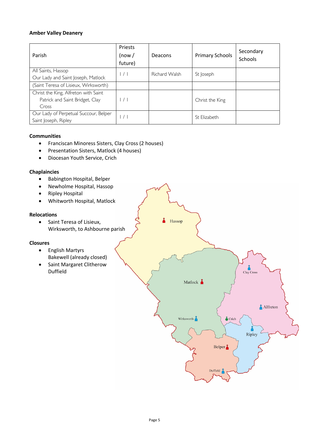# **Amber Valley Deanery**

| Parish                                                                           | Priests<br>(now /<br>future) | Deacons       | <b>Primary Schools</b> | Secondary<br><b>Schools</b> |
|----------------------------------------------------------------------------------|------------------------------|---------------|------------------------|-----------------------------|
| All Saints, Hassop<br>Our Lady and Saint Joseph, Matlock                         | $\vert$ / $\vert$            | Richard Walsh | St Joseph              |                             |
| (Saint Teresa of Lisieux, Wirksworth)                                            |                              |               |                        |                             |
| Christ the King, Alfreton with Saint<br>Patrick and Saint Bridget, Clay<br>Cross | $\vert$ / $\vert$            |               | Christ the King        |                             |
| Our Lady of Perpetual Succour, Belper<br>Saint Joseph, Ripley                    | $\vert$ / $\vert$            |               | St Elizabeth           |                             |

## **Communities**

- Franciscan Minoress Sisters, Clay Cross (2 houses)
- Presentation Sisters, Matlock (4 houses)
- Diocesan Youth Service, Crich

## **Chaplaincies**

- Babington Hospital, Belper
- Newholme Hospital, Hassop
- Ripley Hospital
- Whitworth Hospital, Matlock

# **Relocations**

• Saint Teresa of Lisieux, Wirksworth, to Ashbourne parish

## **Closures**

- English Martyrs Bakewell (already closed)
- Saint Margaret Clitherow Duffield

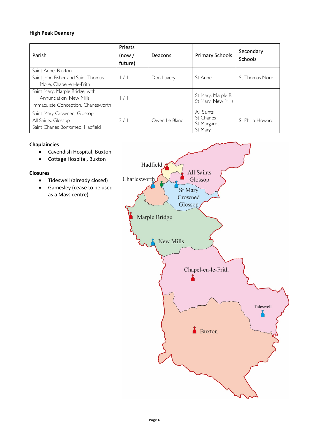# **High Peak Deanery**

| Parish                                                                                            | Priests<br>(now /<br>future) | Deacons       | <b>Primary Schools</b>                             | Secondary<br>Schools |
|---------------------------------------------------------------------------------------------------|------------------------------|---------------|----------------------------------------------------|----------------------|
| Saint Anne, Buxton<br>Saint John Fisher and Saint Thomas<br>More, Chapel-en-le-Frith              | $\vert$ / $\vert$            | Don Lavery    | St Anne                                            | St Thomas More       |
| Saint Mary, Marple Bridge, with<br>Annunciation, New Mills<br>Immaculate Conception, Charlesworth | $\left  \ \right $           |               | St Mary, Marple B<br>St Mary, New Mills            |                      |
| Saint Mary Crowned, Glossop<br>All Saints, Glossop<br>Saint Charles Borromeo, Hadfield            | 2/1                          | Owen Le Blanc | All Saints<br>St Charles<br>St Margaret<br>St Mary | St Philip Howard     |

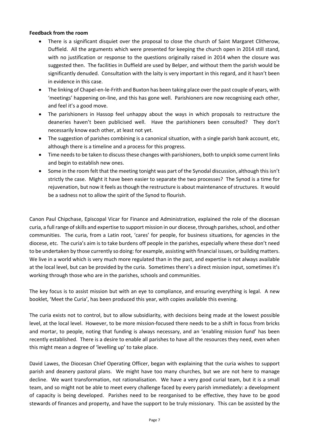## **Feedback from the room**

- There is a significant disquiet over the proposal to close the church of Saint Margaret Clitherow, Duffield. All the arguments which were presented for keeping the church open in 2014 still stand, with no justification or response to the questions originally raised in 2014 when the closure was suggested then. The facilities in Duffield are used by Belper, and without them the parish would be significantly denuded. Consultation with the laity is very important in this regard, and it hasn't been in evidence in this case.
- The linking of Chapel-en-le-Frith and Buxton has been taking place over the past couple of years, with 'meetings' happening on-line, and this has gone well. Parishioners are now recognising each other, and feel it's a good move.
- The parishioners in Hassop feel unhappy about the ways in which proposals to restructure the deaneries haven't been publicised well. Have the parishioners been consulted? They don't necessarily know each other, at least not yet.
- The suggestion of parishes combining is a canonical situation, with a single parish bank account, etc, although there is a timeline and a process for this progress.
- Time needs to be taken to discuss these changes with parishioners, both to unpick some current links and begin to establish new ones.
- Some in the room felt that the meeting tonight was part of the Synodal discussion, although this isn't strictly the case. Might it have been easier to separate the two processes? The Synod is a time for rejuvenation, but now it feels as though the restructure is about maintenance of structures. It would be a sadness not to allow the spirit of the Synod to flourish.

Canon Paul Chipchase, Episcopal Vicar for Finance and Administration, explained the role of the diocesan curia, a full range of skills and expertise to support mission in our diocese, through parishes, school, and other communities. The curia, from a Latin root, 'cares' for people, for business situations, for agencies in the diocese, etc. The curia's aim is to take burdens off people in the parishes, especially where these don't need to be undertaken by those currently so doing: for example, assisting with financial issues, or building matters. We live in a world which is very much more regulated than in the past, and expertise is not always available at the local level, but can be provided by the curia. Sometimes there's a direct mission input, sometimes it's working through those who are in the parishes, schools and communities.

The key focus is to assist mission but with an eye to compliance, and ensuring everything is legal. A new booklet, 'Meet the Curia', has been produced this year, with copies available this evening.

The curia exists not to control, but to allow subsidiarity, with decisions being made at the lowest possible level, at the local level. However, to be more mission-focused there needs to be a shift in focus from bricks and mortar, to people, noting that funding is always necessary, and an 'enabling mission fund' has been recently established. There is a desire to enable all parishes to have all the resources they need, even when this might mean a degree of 'levelling up' to take place.

David Lawes, the Diocesan Chief Operating Officer, began with explaining that the curia wishes to support parish and deanery pastoral plans. We might have too many churches, but we are not here to manage decline. We want transformation, not rationalisation. We have a very good curial team, but it is a small team, and so might not be able to meet every challenge faced by every parish immediately: a development of capacity is being developed. Parishes need to be reorganised to be effective, they have to be good stewards of finances and property, and have the support to be truly missionary. This can be assisted by the